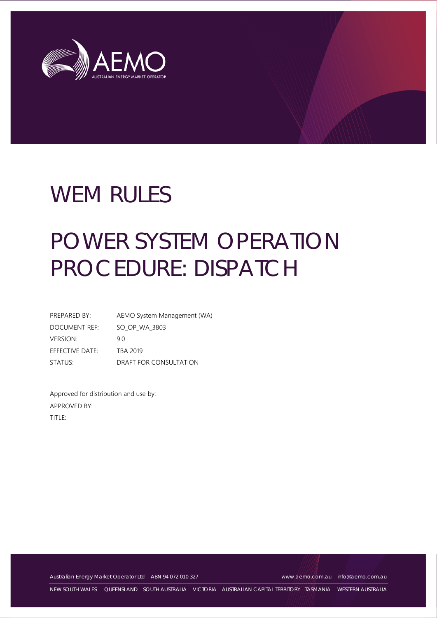

# WEM RULES

# POWER SYSTEM OPERATION PROCEDURE: DISPATCH

| PREPARED BY:    | AEMO System Management (WA) |
|-----------------|-----------------------------|
| DOCUMENT REF:   | SO OP WA 3803               |
| <b>VERSION:</b> | 9 O                         |
| EFFECTIVE DATE: | TBA 2019                    |
| STATUS:         | DRAFT FOR CONSULTATION      |

Approved for distribution and use by: APPROVED BY: TITLE:

Australian Energy Market Operator Ltd ABN 94 072 010 327 [www.aemo.com.au](http://www.aemo.com.au/) [info@aemo.com.au](mailto:info@aemo.com.au)

NEW SOUTH WALES QUEENSLAND SOUTH AUSTRALIA VICTORIA AUSTRALIAN CAPITAL TERRITORY TASMANIA WESTERN AUSTRALIA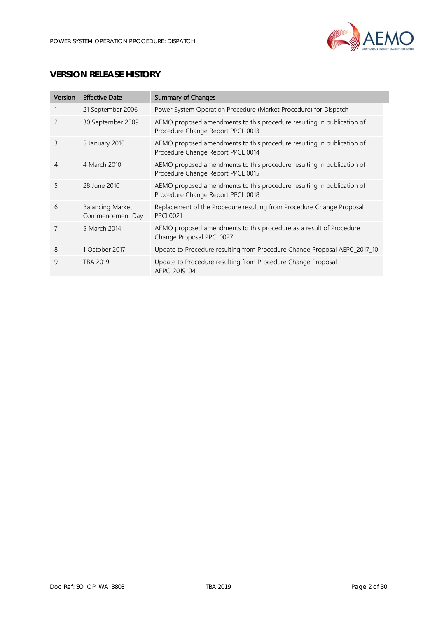

# **VERSION RELEASE HISTORY**

| Version        | <b>Effective Date</b>                       | <b>Summary of Changes</b>                                                                                   |
|----------------|---------------------------------------------|-------------------------------------------------------------------------------------------------------------|
|                | 21 September 2006                           | Power System Operation Procedure (Market Procedure) for Dispatch                                            |
| $\overline{c}$ | 30 September 2009                           | AEMO proposed amendments to this procedure resulting in publication of<br>Procedure Change Report PPCL 0013 |
| 3              | 5 January 2010                              | AEMO proposed amendments to this procedure resulting in publication of<br>Procedure Change Report PPCL 0014 |
| 4              | 4 March 2010                                | AEMO proposed amendments to this procedure resulting in publication of<br>Procedure Change Report PPCL 0015 |
| 5              | 28 June 2010                                | AEMO proposed amendments to this procedure resulting in publication of<br>Procedure Change Report PPCL 0018 |
| 6              | <b>Balancing Market</b><br>Commencement Day | Replacement of the Procedure resulting from Procedure Change Proposal<br><b>PPCL0021</b>                    |
| 7              | 5 March 2014                                | AEMO proposed amendments to this procedure as a result of Procedure<br>Change Proposal PPCL0027             |
| 8              | 1 October 2017                              | Update to Procedure resulting from Procedure Change Proposal AEPC_2017_10                                   |
| 9              | TBA 2019                                    | Update to Procedure resulting from Procedure Change Proposal<br>AEPC 2019 04                                |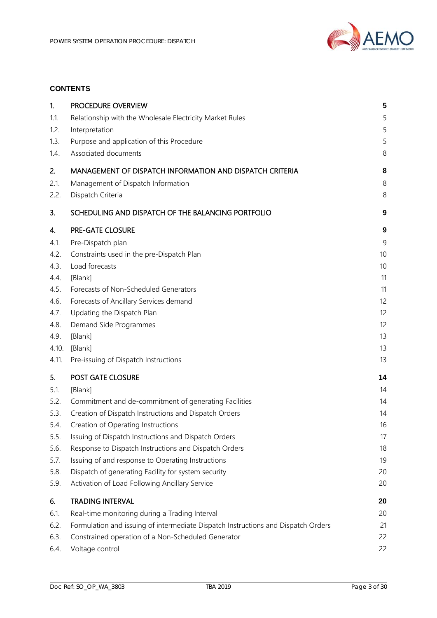

# **CONTENTS**

| 1.           | PROCEDURE OVERVIEW                                                                                       | 5                |
|--------------|----------------------------------------------------------------------------------------------------------|------------------|
| 1.1.         | Relationship with the Wholesale Electricity Market Rules                                                 | 5                |
| 1.2.         | Interpretation                                                                                           | 5                |
| 1.3.         | Purpose and application of this Procedure                                                                | 5                |
| 1.4.         | Associated documents                                                                                     | 8                |
| 2.           | MANAGEMENT OF DISPATCH INFORMATION AND DISPATCH CRITERIA                                                 | 8                |
| 2.1.         | Management of Dispatch Information                                                                       | 8                |
| 2.2.         | Dispatch Criteria                                                                                        | 8                |
| 3.           | SCHEDULING AND DISPATCH OF THE BALANCING PORTFOLIO                                                       | 9                |
| 4.           | PRE-GATE CLOSURE                                                                                         | $\boldsymbol{9}$ |
| 4.1.         | Pre-Dispatch plan                                                                                        | 9                |
| 4.2.         | Constraints used in the pre-Dispatch Plan                                                                | 10               |
| 4.3.         | Load forecasts                                                                                           | 10               |
| 4.4.         | [Blank]                                                                                                  | 11               |
| 4.5.         | Forecasts of Non-Scheduled Generators                                                                    | 11               |
| 4.6.         | Forecasts of Ancillary Services demand                                                                   | 12               |
| 4.7.         | Updating the Dispatch Plan                                                                               | 12               |
| 4.8.         | Demand Side Programmes                                                                                   | 12               |
| 4.9.         | [Blank]                                                                                                  | 13               |
| 4.10.        | [Blank]                                                                                                  | 13               |
| 4.11.        | Pre-issuing of Dispatch Instructions                                                                     | 13               |
| 5.           | POST GATE CLOSURE                                                                                        | 14               |
| 5.1.         | [Blank]                                                                                                  | 14               |
| 5.2.         | Commitment and de-commitment of generating Facilities                                                    | 14               |
| 5.3.         | Creation of Dispatch Instructions and Dispatch Orders                                                    | 14               |
| 5.4.         | Creation of Operating Instructions                                                                       | 16               |
| 5.5.         | Issuing of Dispatch Instructions and Dispatch Orders                                                     | 17               |
| 5.6.         | Response to Dispatch Instructions and Dispatch Orders                                                    | 18               |
| 5.7.<br>5.8. | Issuing of and response to Operating Instructions<br>Dispatch of generating Facility for system security | 19<br>20         |
| 5.9.         | Activation of Load Following Ancillary Service                                                           | 20               |
| 6.           | <b>TRADING INTERVAL</b>                                                                                  | 20               |
| 6.1.         | Real-time monitoring during a Trading Interval                                                           | 20               |
| 6.2.         | Formulation and issuing of intermediate Dispatch Instructions and Dispatch Orders                        | 21               |
| 6.3.         | Constrained operation of a Non-Scheduled Generator                                                       | 22               |
| 6.4.         | Voltage control                                                                                          | 22               |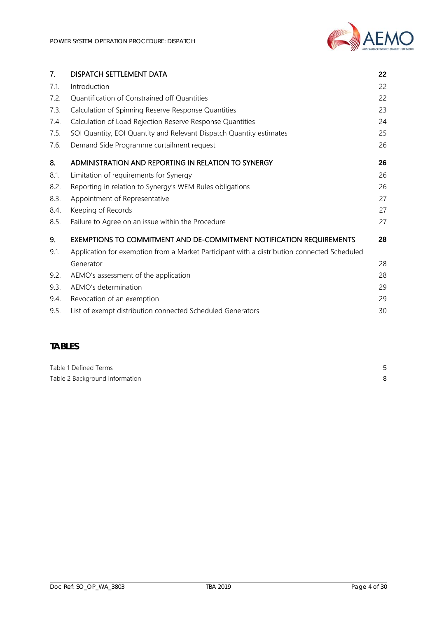| 7.   | DISPATCH SETTLEMENT DATA                                                                    | 22 |
|------|---------------------------------------------------------------------------------------------|----|
| 7.1. | Introduction                                                                                | 22 |
| 7.2. | Quantification of Constrained off Quantities                                                | 22 |
| 7.3. | Calculation of Spinning Reserve Response Quantities                                         | 23 |
| 7.4. | Calculation of Load Rejection Reserve Response Quantities                                   | 24 |
| 7.5. | SOI Quantity, EOI Quantity and Relevant Dispatch Quantity estimates                         | 25 |
| 7.6. | Demand Side Programme curtailment request                                                   | 26 |
| 8.   | ADMINISTRATION AND REPORTING IN RELATION TO SYNERGY                                         | 26 |
| 8.1. | Limitation of requirements for Synergy                                                      | 26 |
| 8.2. | Reporting in relation to Synergy's WEM Rules obligations                                    | 26 |
| 8.3. | Appointment of Representative                                                               | 27 |
| 8.4. | Keeping of Records                                                                          | 27 |
| 8.5. | Failure to Agree on an issue within the Procedure                                           | 27 |
| 9.   | EXEMPTIONS TO COMMITMENT AND DE-COMMITMENT NOTIFICATION REQUIREMENTS                        | 28 |
| 9.1. | Application for exemption from a Market Participant with a distribution connected Scheduled |    |
|      | Generator                                                                                   | 28 |
| 9.2. | AEMO's assessment of the application                                                        | 28 |
| 9.3. | AEMO's determination                                                                        | 29 |
| 9.4. | Revocation of an exemption                                                                  | 29 |
| 9.5. | List of exempt distribution connected Scheduled Generators                                  | 30 |

# **TABLES**

| Table 1 Defined Terms          |  |
|--------------------------------|--|
| Table 2 Background information |  |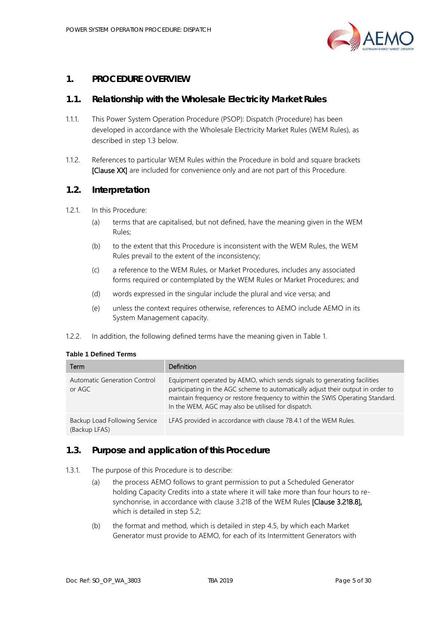

### <span id="page-4-0"></span>**1. PROCEDURE OVERVIEW**

#### <span id="page-4-1"></span>**1.1. Relationship with the Wholesale Electricity Market Rules**

- 1.1.1. This Power System Operation Procedure (PSOP): Dispatch (Procedure) has been developed in accordance with the Wholesale Electricity Market Rules (WEM Rules), as described in step [1.3](#page-4-3) below.
- 1.1.2. References to particular WEM Rules within the Procedure in bold and square brackets [Clause XX] are included for convenience only and are not part of this Procedure.

#### <span id="page-4-2"></span>**1.2. Interpretation**

- 1.2.1. In this Procedure:
	- (a) terms that are capitalised, but not defined, have the meaning given in the WEM Rules;
	- (b) to the extent that this Procedure is inconsistent with the WEM Rules, the WEM Rules prevail to the extent of the inconsistency;
	- (c) a reference to the WEM Rules, or Market Procedures, includes any associated forms required or contemplated by the WEM Rules or Market Procedures; and
	- (d) words expressed in the singular include the plural and vice versa; and
	- (e) unless the context requires otherwise, references to AEMO include AEMO in its System Management capacity.
- 1.2.2. In addition, the following defined terms have the meaning given in [Table 1.](#page-4-4)

<span id="page-4-4"></span>

| Term                                           | Definition                                                                                                                                                                                                                                                                                           |
|------------------------------------------------|------------------------------------------------------------------------------------------------------------------------------------------------------------------------------------------------------------------------------------------------------------------------------------------------------|
| Automatic Generation Control<br>or AGC         | Equipment operated by AEMO, which sends signals to generating facilities<br>participating in the AGC scheme to automatically adjust their output in order to<br>maintain frequency or restore frequency to within the SWIS Operating Standard.<br>In the WEM, AGC may also be utilised for dispatch. |
| Backup Load Following Service<br>(Backup LFAS) | LFAS provided in accordance with clause 7B.4.1 of the WEM Rules.                                                                                                                                                                                                                                     |

#### <span id="page-4-3"></span>**1.3. Purpose and application of this Procedure**

- <span id="page-4-5"></span>1.3.1. The purpose of this Procedure is to describe:
	- (a) the process AEMO follows to grant permission to put a Scheduled Generator holding Capacity Credits into a state where it will take more than four hours to resynchonrise, in accordance with clause 3.21B of the WEM Rules [Clause 3.21B.8], which is detailed in ste[p 5.2;](#page-13-2)
	- (b) the format and method, which is detailed in step [4.5,](#page-10-1) by which each Market Generator must provide to AEMO, for each of its Intermittent Generators with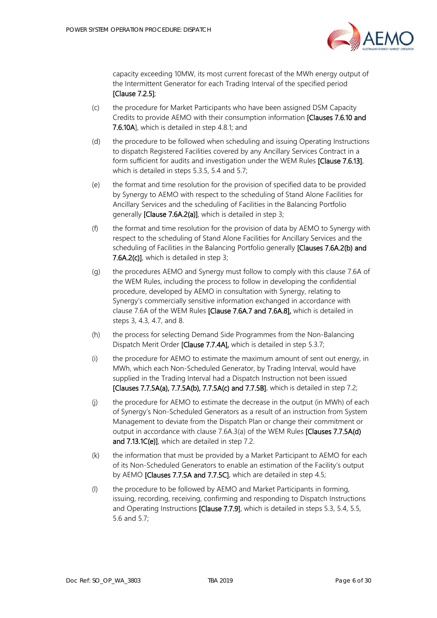

capacity exceeding 10MW, its most current forecast of the MWh energy output of the Intermittent Generator for each Trading Interval of the specified period [Clause 7.2.5];

- (c) the procedure for Market Participants who have been assigned DSM Capacity Credits to provide AEMO with their consumption information [Clauses 7.6.10 and 7.6.10A], which is detailed in step [4.8.1;](#page-11-3) and
- (d) the procedure to be followed when scheduling and issuing Operating Instructions to dispatch Registered Facilities covered by any Ancillary Services Contract in a form sufficient for audits and investigation under the WEM Rules [Clause 7.6.13], which is detailed in step[s 5.3.5,](#page-14-0) [5.4](#page-15-0) and [5.7;](#page-18-0)
- (e) the format and time resolution for the provision of specified data to be provided by Synergy to AEMO with respect to the scheduling of Stand Alone Facilities for Ancillary Services and the scheduling of Facilities in the Balancing Portfolio generally [Clause 7.6A.2(a)], which is detailed in step [3;](#page-8-0)
- (f) the format and time resolution for the provision of data by AEMO to Synergy with respect to the scheduling of Stand Alone Facilities for Ancillary Services and the scheduling of Facilities in the Balancing Portfolio generally [Clauses 7.6A.2(b) and 7.6A.2(c)], which is detailed in step [3;](#page-8-0)
- (g) the procedures AEMO and Synergy must follow to comply with this clause 7.6A of the WEM Rules, including the process to follow in developing the confidential procedure, developed by AEMO in consultation with Synergy, relating to Synergy's commercially sensitive information exchanged in accordance with clause 7.6A of the WEM Rules [Clause 7.6A.7 and 7.6A.8], which is detailed in steps [3,](#page-8-0) [4.3,](#page-9-1) [4.7,](#page-11-1) and [8.](#page-25-1)
- (h) the process for selecting Demand Side Programmes from the Non-Balancing Dispatch Merit Order [Clause 7.7.4A], which is detailed in step [5.3.7;](#page-14-1)
- (i) the procedure for AEMO to estimate the maximum amount of sent out energy, in MWh, which each Non-Scheduled Generator, by Trading Interval, would have supplied in the Trading Interval had a Dispatch Instruction not been issued [Clauses 7.7.5A(a), 7.7.5A(b), 7.7.5A(c) and 7.7.5B], which is detailed in step [7.2;](#page-21-4)
- (j) the procedure for AEMO to estimate the decrease in the output (in MWh) of each of Synergy's Non-Scheduled Generators as a result of an instruction from System Management to deviate from the Dispatch Plan or change their commitment or output in accordance with clause 7.6A.3(a) of the WEM Rules [Clauses 7.7.5A(d) and 7.13.1C(e)], which are detailed in step [7.2.](#page-21-4)
- (k) the information that must be provided by a Market Participant to AEMO for each of its Non-Scheduled Generators to enable an estimation of the Facility's output by AEMO [Clauses 7.7.5A and 7.7.5C], which are detailed in step [4.5;](#page-10-1)
- (l) the procedure to be followed by AEMO and Market Participants in forming, issuing, recording, receiving, confirming and responding to Dispatch Instructions and Operating Instructions [Clause 7.7.9], which is detailed in steps [5.3,](#page-13-3) [5.4,](#page-15-0) [5.5,](#page-16-0) [5.6](#page-17-0) and [5.7;](#page-18-0)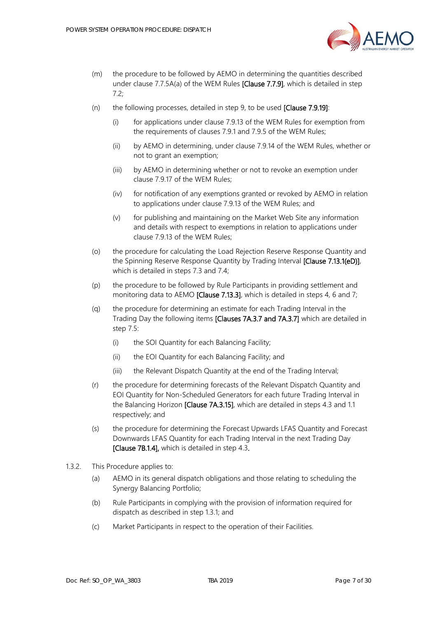

- (m) the procedure to be followed by AEMO in determining the quantities described under clause 7.7.5A(a) of the WEM Rules [Clause 7.7.9], which is detailed in step [7.2;](#page-21-4)
- (n) the following processes, detailed in ste[p 9,](#page-27-0) to be used [Clause 7.9.19]:
	- (i) for applications under clause 7.9.13 of the WEM Rules for exemption from the requirements of clauses 7.9.1 and 7.9.5 of the WEM Rules;
	- (ii) by AEMO in determining, under clause 7.9.14 of the WEM Rules, whether or not to grant an exemption;
	- (iii) by AEMO in determining whether or not to revoke an exemption under clause 7.9.17 of the WEM Rules;
	- (iv) for notification of any exemptions granted or revoked by AEMO in relation to applications under clause 7.9.13 of the WEM Rules; and
	- (v) for publishing and maintaining on the Market Web Site any information and details with respect to exemptions in relation to applications under clause 7.9.13 of the WEM Rules;
- (o) the procedure for calculating the Load Rejection Reserve Response Quantity and the Spinning Reserve Response Quantity by Trading Interval [Clause 7.13.1(eD)], which is detailed in step[s 7.3](#page-22-0) and [7.4;](#page-23-0)
- (p) the procedure to be followed by Rule Participants in providing settlement and monitoring data to AEMO **[Clause 7.13.3]**, which is detailed in steps [4,](#page-8-1) [6](#page-19-2) an[d 7;](#page-21-2)
- (q) the procedure for determining an estimate for each Trading Interval in the Trading Day the following items [Clauses 7A.3.7 and 7A.3.7] which are detailed in step [7.5:](#page-24-0)
	- (i) the SOI Quantity for each Balancing Facility;
	- (ii) the EOI Quantity for each Balancing Facility; and
	- (iii) the Relevant Dispatch Quantity at the end of the Trading Interval;
- (r) the procedure for determining forecasts of the Relevant Dispatch Quantity and EOI Quantity for Non-Scheduled Generators for each future Trading Interval in the Balancing Horizon [Clause 7A.3.15], which are detailed in steps [4.3](#page-9-1) and [1.1](#page-10-1) respectively; and
- (s) the procedure for determining the Forecast Upwards LFAS Quantity and Forecast Downwards LFAS Quantity for each Trading Interval in the next Trading Day [Clause 7B.1.4], which is detailed in ste[p 4.3.](#page-9-1)
- 1.3.2. This Procedure applies to:
	- (a) AEMO in its general dispatch obligations and those relating to scheduling the Synergy Balancing Portfolio;
	- (b) Rule Participants in complying with the provision of information required for dispatch as described in step [1.3.1;](#page-4-5) and
	- (c) Market Participants in respect to the operation of their Facilities.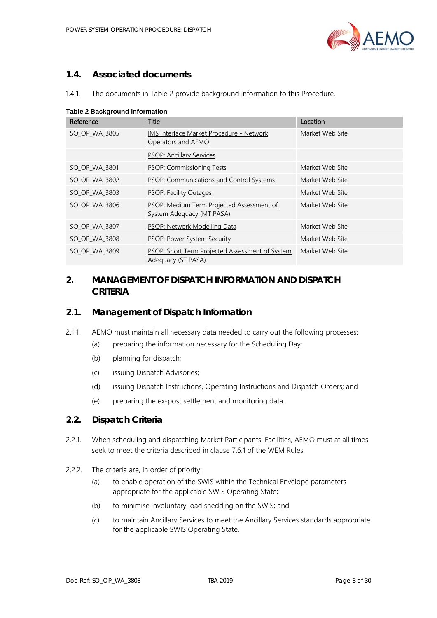

# <span id="page-7-0"></span>**1.4. Associated documents**

| 1.4.1 | The documents in Table 2 provide background information to this Procedure. |  |  |
|-------|----------------------------------------------------------------------------|--|--|
|       |                                                                            |  |  |

| rapic z Background michmanom |                                                                        |                 |  |  |
|------------------------------|------------------------------------------------------------------------|-----------------|--|--|
| Reference                    | <b>Title</b>                                                           | Location        |  |  |
| SO_OP_WA_3805                | IMS Interface Market Procedure - Network<br>Operators and AEMO         | Market Web Site |  |  |
|                              | <b>PSOP: Ancillary Services</b>                                        |                 |  |  |
| SO_OP_WA_3801                | <b>PSOP: Commissioning Tests</b>                                       | Market Web Site |  |  |
| SO_OP_WA_3802                | <b>PSOP: Communications and Control Systems</b>                        | Market Web Site |  |  |
| SO OP WA 3803                | <b>PSOP: Facility Outages</b>                                          | Market Web Site |  |  |
| SO OP WA 3806                | PSOP: Medium Term Projected Assessment of<br>System Adequacy (MT PASA) | Market Web Site |  |  |
| SO_OP_WA_3807                | PSOP: Network Modelling Data                                           | Market Web Site |  |  |
| SO_OP_WA_3808                | PSOP: Power System Security                                            | Market Web Site |  |  |
| SO_OP_WA_3809                | PSOP: Short Term Projected Assessment of System<br>Adequacy (ST PASA)  | Market Web Site |  |  |

<span id="page-7-4"></span>**Table 2 Background information**

# <span id="page-7-1"></span>**2. MANAGEMENT OF DISPATCH INFORMATION AND DISPATCH CRITERIA**

### <span id="page-7-2"></span>**2.1. Management of Dispatch Information**

- 2.1.1. AEMO must maintain all necessary data needed to carry out the following processes:
	- (a) preparing the information necessary for the Scheduling Day;
	- (b) planning for dispatch;
	- (c) issuing Dispatch Advisories;
	- (d) issuing Dispatch Instructions, Operating Instructions and Dispatch Orders; and
	- (e) preparing the ex-post settlement and monitoring data.

### <span id="page-7-3"></span>**2.2. Dispatch Criteria**

- 2.2.1. When scheduling and dispatching Market Participants' Facilities, AEMO must at all times seek to meet the criteria described in clause 7.6.1 of the WEM Rules.
- 2.2.2. The criteria are, in order of priority:
	- (a) to enable operation of the SWIS within the Technical Envelope parameters appropriate for the applicable SWIS Operating State;
	- (b) to minimise involuntary load shedding on the SWIS; and
	- (c) to maintain Ancillary Services to meet the Ancillary Services standards appropriate for the applicable SWIS Operating State.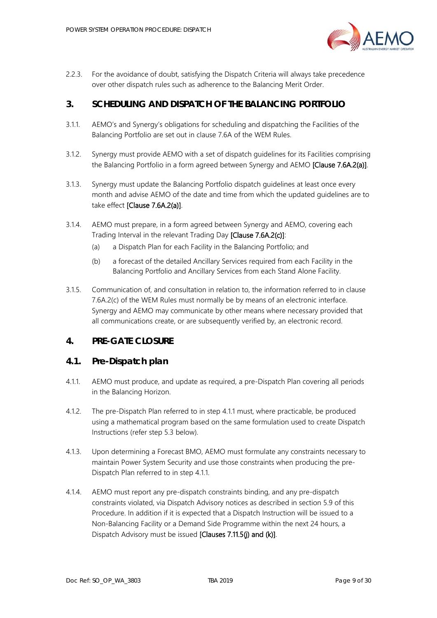

2.2.3. For the avoidance of doubt, satisfying the Dispatch Criteria will always take precedence over other dispatch rules such as adherence to the Balancing Merit Order.

# <span id="page-8-0"></span>**3. SCHEDULING AND DISPATCH OF THE BALANCING PORTFOLIO**

- 3.1.1. AEMO's and Synergy's obligations for scheduling and dispatching the Facilities of the Balancing Portfolio are set out in clause 7.6A of the WEM Rules.
- <span id="page-8-5"></span>3.1.2. Synergy must provide AEMO with a set of dispatch guidelines for its Facilities comprising the Balancing Portfolio in a form agreed between Synergy and AEMO [Clause 7.6A.2(a)].
- 3.1.3. Synergy must update the Balancing Portfolio dispatch guidelines at least once every month and advise AEMO of the date and time from which the updated guidelines are to take effect [Clause 7.6A.2(a)].
- 3.1.4. AEMO must prepare, in a form agreed between Synergy and AEMO, covering each Trading Interval in the relevant Trading Day [Clause 7.6A.2(c)]:
	- (a) a Dispatch Plan for each Facility in the Balancing Portfolio; and
	- (b) a forecast of the detailed Ancillary Services required from each Facility in the Balancing Portfolio and Ancillary Services from each Stand Alone Facility.
- 3.1.5. Communication of, and consultation in relation to, the information referred to in clause 7.6A.2(c) of the WEM Rules must normally be by means of an electronic interface. Synergy and AEMO may communicate by other means where necessary provided that all communications create, or are subsequently verified by, an electronic record.

### <span id="page-8-1"></span>**4. PRE-GATE CLOSURE**

### <span id="page-8-2"></span>**4.1. Pre-Dispatch plan**

- <span id="page-8-3"></span>4.1.1. AEMO must produce, and update as required, a pre-Dispatch Plan covering all periods in the Balancing Horizon.
- 4.1.2. The pre-Dispatch Plan referred to in step [4.1.1](#page-8-3) must, where practicable, be produced using a mathematical program based on the same formulation used to create Dispatch Instructions (refer step [5.3](#page-13-3) below).
- <span id="page-8-4"></span>4.1.3. Upon determining a Forecast BMO, AEMO must formulate any constraints necessary to maintain Power System Security and use those constraints when producing the pre-Dispatch Plan referred to in step [4.1.1.](#page-8-3)
- 4.1.4. AEMO must report any pre-dispatch constraints binding, and any pre-dispatch constraints violated, via Dispatch Advisory notices as described in section [5.9](#page-19-1) of this Procedure. In addition if it is expected that a Dispatch Instruction will be issued to a Non-Balancing Facility or a Demand Side Programme within the next 24 hours, a Dispatch Advisory must be issued [Clauses 7.11.5(j) and (k)].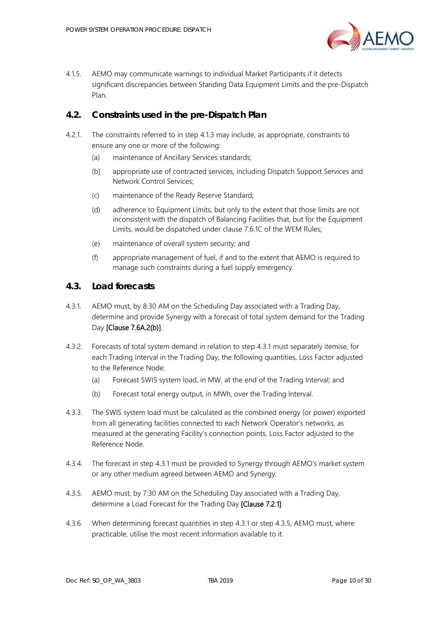

4.1.5. AEMO may communicate warnings to individual Market Participants if it detects significant discrepancies between Standing Data Equipment Limits and the pre-Dispatch Plan.

# <span id="page-9-0"></span>**4.2. Constraints used in the pre-Dispatch Plan**

- 4.2.1. The constraints referred to in step [4.1.3](#page-8-4) may include, as appropriate, constraints to ensure any one or more of the following:
	- (a) maintenance of Ancillary Services standards;
	- (b) appropriate use of contracted services, including Dispatch Support Services and Network Control Services;
	- (c) maintenance of the Ready Reserve Standard;
	- (d) adherence to Equipment Limits, but only to the extent that those limits are not inconsistent with the dispatch of Balancing Facilities that, but for the Equipment Limits, would be dispatched under clause 7.6.1C of the WEM Rules;
	- (e) maintenance of overall system security; and
	- (f) appropriate management of fuel, if and to the extent that AEMO is required to manage such constraints during a fuel supply emergency.

#### <span id="page-9-1"></span>**4.3. Load forecasts**

- <span id="page-9-2"></span>4.3.1. AEMO must, by 8:30 AM on the Scheduling Day associated with a Trading Day, determine and provide Synergy with a forecast of total system demand for the Trading Day [Clause 7.6A.2(b)].
- 4.3.2. Forecasts of total system demand in relation to step [4.3.1](#page-9-2) must separately itemise, for each Trading Interval in the Trading Day, the following quantities, Loss Factor adjusted to the Reference Node:
	- (a) Forecast SWIS system load, in MW, at the end of the Trading Interval; and
	- (b) Forecast total energy output, in MWh, over the Trading Interval.
- 4.3.3. The SWIS system load must be calculated as the combined energy (or power) exported from all generating facilities connected to each Network Operator's networks, as measured at the generating Facility's connection points, Loss Factor adjusted to the Reference Node.
- 4.3.4. The forecast in step [4.3.1](#page-9-2) must be provided to Synergy through AEMO's market system or any other medium agreed between AEMO and Synergy.
- <span id="page-9-3"></span>4.3.5. AEMO must, by 7:30 AM on the Scheduling Day associated with a Trading Day, determine a Load Forecast for the Trading Day [Clause 7.2.1].
- 4.3.6. When determining forecast quantities in step [4.3.1](#page-9-2) or step [4.3.5,](#page-9-3) AEMO must, where practicable, utilise the most recent information available to it.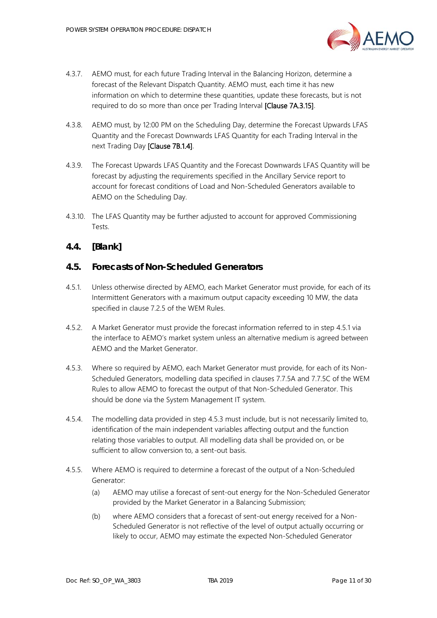

- 4.3.7. AEMO must, for each future Trading Interval in the Balancing Horizon, determine a forecast of the Relevant Dispatch Quantity. AEMO must, each time it has new information on which to determine these quantities, update these forecasts, but is not required to do so more than once per Trading Interval [Clause 7A.3.15].
- 4.3.8. AEMO must, by 12:00 PM on the Scheduling Day, determine the Forecast Upwards LFAS Quantity and the Forecast Downwards LFAS Quantity for each Trading Interval in the next Trading Day [Clause 7B.1.4].
- 4.3.9. The Forecast Upwards LFAS Quantity and the Forecast Downwards LFAS Quantity will be forecast by adjusting the requirements specified in the Ancillary Service report to account for forecast conditions of Load and Non-Scheduled Generators available to AEMO on the Scheduling Day.
- 4.3.10. The LFAS Quantity may be further adjusted to account for approved Commissioning Tests.

# <span id="page-10-0"></span>**4.4. [Blank]**

### <span id="page-10-1"></span>**4.5. Forecasts of Non-Scheduled Generators**

- <span id="page-10-2"></span>4.5.1. Unless otherwise directed by AEMO, each Market Generator must provide, for each of its Intermittent Generators with a maximum output capacity exceeding 10 MW, the data specified in clause 7.2.5 of the WEM Rules.
- 4.5.2. A Market Generator must provide the forecast information referred to in step [4.5.1](#page-10-2) via the interface to AEMO's market system unless an alternative medium is agreed between AEMO and the Market Generator.
- <span id="page-10-3"></span>4.5.3. Where so required by AEMO, each Market Generator must provide, for each of its Non-Scheduled Generators, modelling data specified in clauses 7.7.5A and 7.7.5C of the WEM Rules to allow AEMO to forecast the output of that Non-Scheduled Generator. This should be done via the System Management IT system.
- 4.5.4. The modelling data provided in step [4.5.3](#page-10-3) must include, but is not necessarily limited to, identification of the main independent variables affecting output and the function relating those variables to output. All modelling data shall be provided on, or be sufficient to allow conversion to, a sent-out basis.
- 4.5.5. Where AEMO is required to determine a forecast of the output of a Non-Scheduled Generator:
	- (a) AEMO may utilise a forecast of sent-out energy for the Non-Scheduled Generator provided by the Market Generator in a Balancing Submission;
	- (b) where AEMO considers that a forecast of sent-out energy received for a Non-Scheduled Generator is not reflective of the level of output actually occurring or likely to occur, AEMO may estimate the expected Non-Scheduled Generator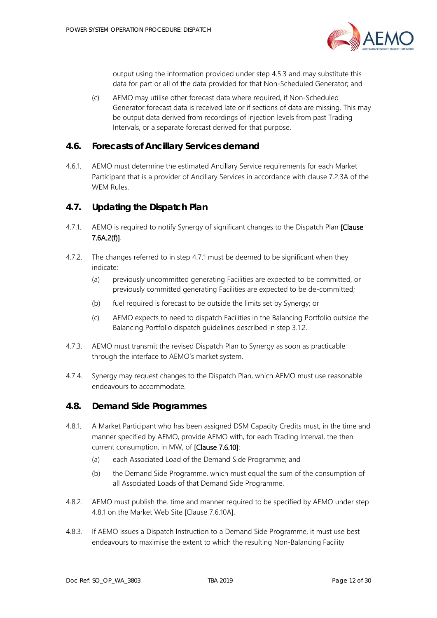

output using the information provided under step [4.5.3](#page-10-3) and may substitute this data for part or all of the data provided for that Non-Scheduled Generator; and

(c) AEMO may utilise other forecast data where required, if Non-Scheduled Generator forecast data is received late or if sections of data are missing. This may be output data derived from recordings of injection levels from past Trading Intervals, or a separate forecast derived for that purpose.

#### <span id="page-11-0"></span>**4.6. Forecasts of Ancillary Services demand**

4.6.1. AEMO must determine the estimated Ancillary Service requirements for each Market Participant that is a provider of Ancillary Services in accordance with clause 7.2.3A of the WEM Rules.

#### <span id="page-11-1"></span>**4.7. Updating the Dispatch Plan**

- <span id="page-11-4"></span>4.7.1. AEMO is required to notify Synergy of significant changes to the Dispatch Plan [Clause] 7.6A.2(f)].
- 4.7.2. The changes referred to in step [4.7.1](#page-11-4) must be deemed to be significant when they indicate:
	- (a) previously uncommitted generating Facilities are expected to be committed, or previously committed generating Facilities are expected to be de-committed;
	- (b) fuel required is forecast to be outside the limits set by Synergy; or
	- (c) AEMO expects to need to dispatch Facilities in the Balancing Portfolio outside the Balancing Portfolio dispatch guidelines described in step [3.1.2.](#page-8-5)
- 4.7.3. AEMO must transmit the revised Dispatch Plan to Synergy as soon as practicable through the interface to AEMO's market system.
- 4.7.4. Synergy may request changes to the Dispatch Plan, which AEMO must use reasonable endeavours to accommodate.

#### <span id="page-11-2"></span>**4.8. Demand Side Programmes**

- <span id="page-11-3"></span>4.8.1. A Market Participant who has been assigned DSM Capacity Credits must, in the time and manner specified by AEMO, provide AEMO with, for each Trading Interval, the then current consumption, in MW, of [Clause 7.6.10]:
	- (a) each Associated Load of the Demand Side Programme; and
	- (b) the Demand Side Programme, which must equal the sum of the consumption of all Associated Loads of that Demand Side Programme.
- <span id="page-11-5"></span>4.8.2. AEMO must publish the. time and manner required to be specified by AEMO under step [4.8.1](#page-11-3) on the Market Web Site [Clause 7.6.10A].
- 4.8.3. If AEMO issues a Dispatch Instruction to a Demand Side Programme, it must use best endeavours to maximise the extent to which the resulting Non-Balancing Facility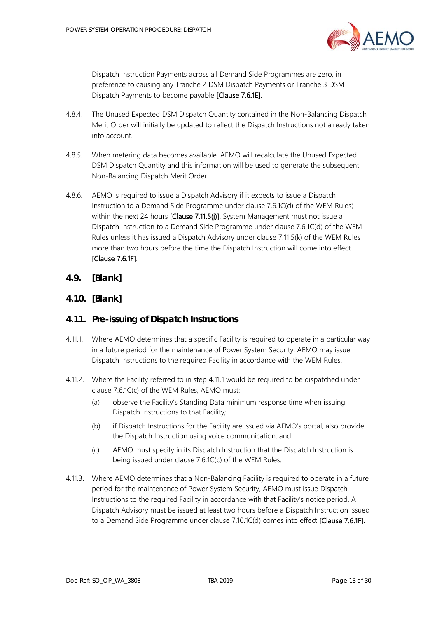

Dispatch Instruction Payments across all Demand Side Programmes are zero, in preference to causing any Tranche 2 DSM Dispatch Payments or Tranche 3 DSM Dispatch Payments to become payable [Clause 7.6.1E].

- 4.8.4. The Unused Expected DSM Dispatch Quantity contained in the Non-Balancing Dispatch Merit Order will initially be updated to reflect the Dispatch Instructions not already taken into account.
- 4.8.5. When metering data becomes available, AEMO will recalculate the Unused Expected DSM Dispatch Quantity and this information will be used to generate the subsequent Non-Balancing Dispatch Merit Order.
- 4.8.6. AEMO is required to issue a Dispatch Advisory if it expects to issue a Dispatch Instruction to a Demand Side Programme under clause 7.6.1C(d) of the WEM Rules) within the next 24 hours [Clause 7.11.5(j)]. System Management must not issue a Dispatch Instruction to a Demand Side Programme under clause 7.6.1C(d) of the WEM Rules unless it has issued a Dispatch Advisory under clause 7.11.5(k) of the WEM Rules more than two hours before the time the Dispatch Instruction will come into effect [Clause 7.6.1F].
- <span id="page-12-0"></span>**4.9. [Blank]**
- <span id="page-12-1"></span>**4.10. [Blank]**

### <span id="page-12-2"></span>**4.11. Pre-issuing of Dispatch Instructions**

- <span id="page-12-3"></span>4.11.1. Where AEMO determines that a specific Facility is required to operate in a particular way in a future period for the maintenance of Power System Security, AEMO may issue Dispatch Instructions to the required Facility in accordance with the WEM Rules.
- 4.11.2. Where the Facility referred to in step [4.11.1](#page-12-3) would be required to be dispatched under clause 7.6.1C(c) of the WEM Rules, AEMO must:
	- (a) observe the Facility's Standing Data minimum response time when issuing Dispatch Instructions to that Facility;
	- (b) if Dispatch Instructions for the Facility are issued via AEMO's portal, also provide the Dispatch Instruction using voice communication; and
	- (c) AEMO must specify in its Dispatch Instruction that the Dispatch Instruction is being issued under clause 7.6.1C(c) of the WEM Rules.
- <span id="page-12-4"></span>4.11.3. Where AEMO determines that a Non-Balancing Facility is required to operate in a future period for the maintenance of Power System Security, AEMO must issue Dispatch Instructions to the required Facility in accordance with that Facility's notice period. A Dispatch Advisory must be issued at least two hours before a Dispatch Instruction issued to a Demand Side Programme under clause 7.10.1C(d) comes into effect [Clause 7.6.1F].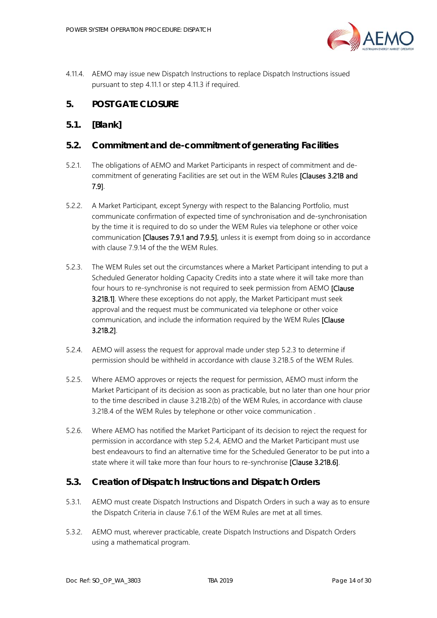

4.11.4. AEMO may issue new Dispatch Instructions to replace Dispatch Instructions issued pursuant to step [4.11.1](#page-12-3) or step [4.11.3](#page-12-4) if required.

# <span id="page-13-0"></span>**5. POST GATE CLOSURE**

# <span id="page-13-1"></span>**5.1. [Blank]**

# <span id="page-13-2"></span>**5.2. Commitment and de-commitment of generating Facilities**

- 5.2.1. The obligations of AEMO and Market Participants in respect of commitment and decommitment of generating Facilities are set out in the WEM Rules [Clauses 3.21B and 7.9].
- 5.2.2. A Market Participant, except Synergy with respect to the Balancing Portfolio, must communicate confirmation of expected time of synchronisation and de-synchronisation by the time it is required to do so under the WEM Rules via telephone or other voice communication **[Clauses 7.9.1 and 7.9.5]**, unless it is exempt from doing so in accordance with clause 7.9.14 of the the WEM Rules.
- <span id="page-13-4"></span>5.2.3. The WEM Rules set out the circumstances where a Market Participant intending to put a Scheduled Generator holding Capacity Credits into a state where it will take more than four hours to re-synchronise is not required to seek permission from AEMO [Clause **3.21B.1]**. Where these exceptions do not apply, the Market Participant must seek approval and the request must be communicated via telephone or other voice communication, and include the information required by the WEM Rules [Clause 3.21B.2].
- <span id="page-13-5"></span>5.2.4. AEMO will assess the request for approval made under step [5.2.3](#page-13-4) to determine if permission should be withheld in accordance with clause 3.21B.5 of the WEM Rules.
- 5.2.5. Where AEMO approves or rejects the request for permission, AEMO must inform the Market Participant of its decision as soon as practicable, but no later than one hour prior to the time described in clause 3.21B.2(b) of the WEM Rules, in accordance with clause 3.21B.4 of the WEM Rules by telephone or other voice communication .
- 5.2.6. Where AEMO has notified the Market Participant of its decision to reject the request for permission in accordance with step [5.2.4,](#page-13-5) AEMO and the Market Participant must use best endeavours to find an alternative time for the Scheduled Generator to be put into a state where it will take more than four hours to re-synchronise [Clause 3.21B.6].

# <span id="page-13-3"></span>**5.3. Creation of Dispatch Instructions and Dispatch Orders**

- 5.3.1. AEMO must create Dispatch Instructions and Dispatch Orders in such a way as to ensure the Dispatch Criteria in clause 7.6.1 of the WEM Rules are met at all times.
- 5.3.2. AEMO must, wherever practicable, create Dispatch Instructions and Dispatch Orders using a mathematical program.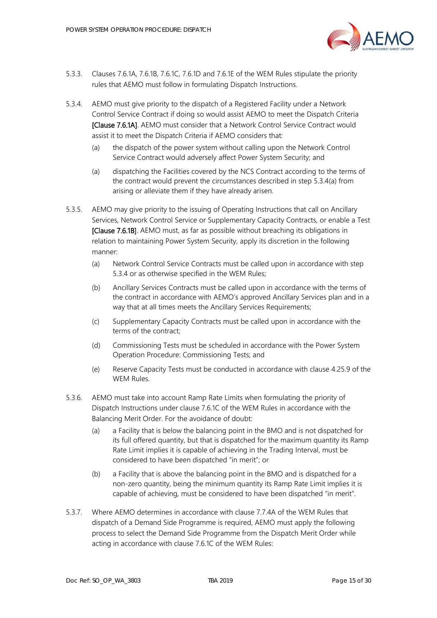

- 5.3.3. Clauses 7.6.1A, 7.6.1B, 7.6.1C, 7.6.1D and 7.6.1E of the WEM Rules stipulate the priority rules that AEMO must follow in formulating Dispatch Instructions.
- <span id="page-14-3"></span><span id="page-14-2"></span>5.3.4. AEMO must give priority to the dispatch of a Registered Facility under a Network Control Service Contract if doing so would assist AEMO to meet the Dispatch Criteria [Clause 7.6.1A]. AEMO must consider that a Network Control Service Contract would assist it to meet the Dispatch Criteria if AEMO considers that:
	- (a) the dispatch of the power system without calling upon the Network Control Service Contract would adversely affect Power System Security; and
	- (a) dispatching the Facilities covered by the NCS Contract according to the terms of the contract would prevent the circumstances described in step [5.3.4](#page-14-2)[\(a\)](#page-14-3) from arising or alleviate them if they have already arisen.
- <span id="page-14-0"></span>5.3.5. AEMO may give priority to the issuing of Operating Instructions that call on Ancillary Services, Network Control Service or Supplementary Capacity Contracts, or enable a Test [Clause 7.6.1B]. AEMO must, as far as possible without breaching its obligations in relation to maintaining Power System Security, apply its discretion in the following manner:
	- (a) Network Control Service Contracts must be called upon in accordance with step [5.3.4](#page-14-2) or as otherwise specified in the WEM Rules;
	- (b) Ancillary Services Contracts must be called upon in accordance with the terms of the contract in accordance with AEMO's approved Ancillary Services plan and in a way that at all times meets the Ancillary Services Requirements;
	- (c) Supplementary Capacity Contracts must be called upon in accordance with the terms of the contract;
	- (d) Commissioning Tests must be scheduled in accordance with the Power System Operation Procedure: Commissioning Tests; and
	- (e) Reserve Capacity Tests must be conducted in accordance with clause 4.25.9 of the WEM Rules.
- 5.3.6. AEMO must take into account Ramp Rate Limits when formulating the priority of Dispatch Instructions under clause 7.6.1C of the WEM Rules in accordance with the Balancing Merit Order. For the avoidance of doubt:
	- (a) a Facility that is below the balancing point in the BMO and is not dispatched for its full offered quantity, but that is dispatched for the maximum quantity its Ramp Rate Limit implies it is capable of achieving in the Trading Interval, must be considered to have been dispatched "in merit"; or
	- (b) a Facility that is above the balancing point in the BMO and is dispatched for a non-zero quantity, being the minimum quantity its Ramp Rate Limit implies it is capable of achieving, must be considered to have been dispatched "in merit".
- <span id="page-14-1"></span>5.3.7 Where AFMO determines in accordance with clause 7.7.4A of the WFM Rules that dispatch of a Demand Side Programme is required, AEMO must apply the following process to select the Demand Side Programme from the Dispatch Merit Order while acting in accordance with clause 7.6.1C of the WEM Rules: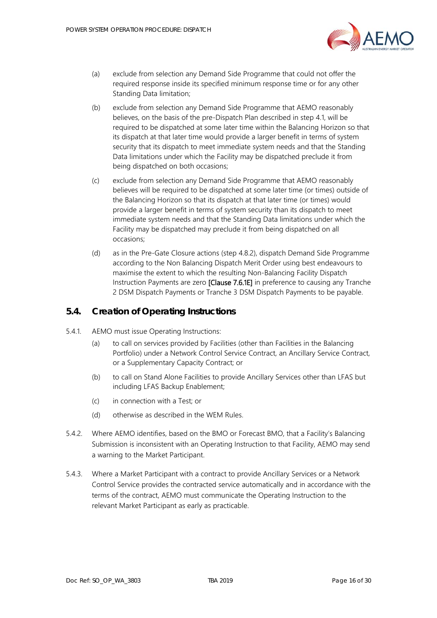

- (a) exclude from selection any Demand Side Programme that could not offer the required response inside its specified minimum response time or for any other Standing Data limitation;
- (b) exclude from selection any Demand Side Programme that AEMO reasonably believes, on the basis of the pre-Dispatch Plan described in step [4.1,](#page-8-2) will be required to be dispatched at some later time within the Balancing Horizon so that its dispatch at that later time would provide a larger benefit in terms of system security that its dispatch to meet immediate system needs and that the Standing Data limitations under which the Facility may be dispatched preclude it from being dispatched on both occasions;
- (c) exclude from selection any Demand Side Programme that AEMO reasonably believes will be required to be dispatched at some later time (or times) outside of the Balancing Horizon so that its dispatch at that later time (or times) would provide a larger benefit in terms of system security than its dispatch to meet immediate system needs and that the Standing Data limitations under which the Facility may be dispatched may preclude it from being dispatched on all occasions;
- (d) as in the Pre-Gate Closure actions (step [4.8.2\)](#page-11-5), dispatch Demand Side Programme according to the Non Balancing Dispatch Merit Order using best endeavours to maximise the extent to which the resulting Non-Balancing Facility Dispatch Instruction Payments are zero [Clause 7.6.1E] in preference to causing any Tranche 2 DSM Dispatch Payments or Tranche 3 DSM Dispatch Payments to be payable.

#### <span id="page-15-0"></span>**5.4. Creation of Operating Instructions**

- 5.4.1. AEMO must issue Operating Instructions:
	- (a) to call on services provided by Facilities (other than Facilities in the Balancing Portfolio) under a Network Control Service Contract, an Ancillary Service Contract, or a Supplementary Capacity Contract; or
	- (b) to call on Stand Alone Facilities to provide Ancillary Services other than LFAS but including LFAS Backup Enablement;
	- (c) in connection with a Test; or
	- (d) otherwise as described in the WEM Rules.
- 5.4.2. Where AEMO identifies, based on the BMO or Forecast BMO, that a Facility's Balancing Submission is inconsistent with an Operating Instruction to that Facility, AEMO may send a warning to the Market Participant.
- 5.4.3. Where a Market Participant with a contract to provide Ancillary Services or a Network Control Service provides the contracted service automatically and in accordance with the terms of the contract, AEMO must communicate the Operating Instruction to the relevant Market Participant as early as practicable.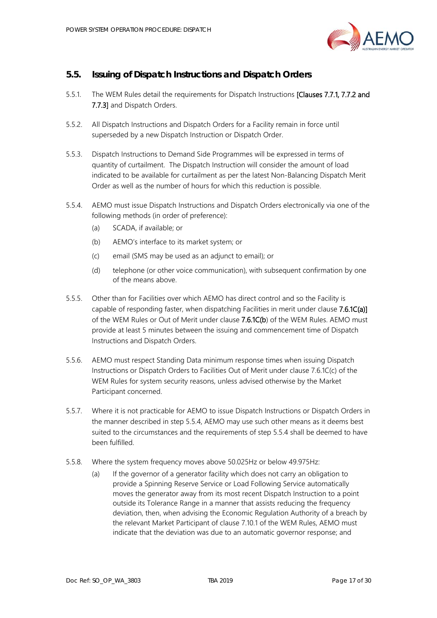

# <span id="page-16-0"></span>**5.5. Issuing of Dispatch Instructions and Dispatch Orders**

- 5.5.1. The WEM Rules detail the requirements for Dispatch Instructions [Clauses 7.7.1, 7.7.2 and 7.7.3] and Dispatch Orders.
- 5.5.2. All Dispatch Instructions and Dispatch Orders for a Facility remain in force until superseded by a new Dispatch Instruction or Dispatch Order.
- 5.5.3. Dispatch Instructions to Demand Side Programmes will be expressed in terms of quantity of curtailment. The Dispatch Instruction will consider the amount of load indicated to be available for curtailment as per the latest Non-Balancing Dispatch Merit Order as well as the number of hours for which this reduction is possible.
- <span id="page-16-1"></span>5.5.4. AEMO must issue Dispatch Instructions and Dispatch Orders electronically via one of the following methods (in order of preference):
	- (a) SCADA, if available; or
	- (b) AEMO's interface to its market system; or
	- (c) email (SMS may be used as an adjunct to email); or
	- (d) telephone (or other voice communication), with subsequent confirmation by one of the means above.
- 5.5.5. Other than for Facilities over which AEMO has direct control and so the Facility is capable of responding faster, when dispatching Facilities in merit under clause 7.6.1C(a)] of the WEM Rules or Out of Merit under clause 7.6.1C(b) of the WEM Rules. AEMO must provide at least 5 minutes between the issuing and commencement time of Dispatch Instructions and Dispatch Orders.
- 5.5.6. AEMO must respect Standing Data minimum response times when issuing Dispatch Instructions or Dispatch Orders to Facilities Out of Merit under clause 7.6.1C(c) of the WEM Rules for system security reasons, unless advised otherwise by the Market Participant concerned.
- 5.5.7. Where it is not practicable for AEMO to issue Dispatch Instructions or Dispatch Orders in the manner described in step [5.5.4,](#page-16-1) AEMO may use such other means as it deems best suited to the circumstances and the requirements of step [5.5.4](#page-16-1) shall be deemed to have been fulfilled.
- 5.5.8. Where the system frequency moves above 50.025Hz or below 49.975Hz:
	- (a) If the governor of a generator facility which does not carry an obligation to provide a Spinning Reserve Service or Load Following Service automatically moves the generator away from its most recent Dispatch Instruction to a point outside its Tolerance Range in a manner that assists reducing the frequency deviation, then, when advising the Economic Regulation Authority of a breach by the relevant Market Participant of clause 7.10.1 of the WEM Rules, AEMO must indicate that the deviation was due to an automatic governor response; and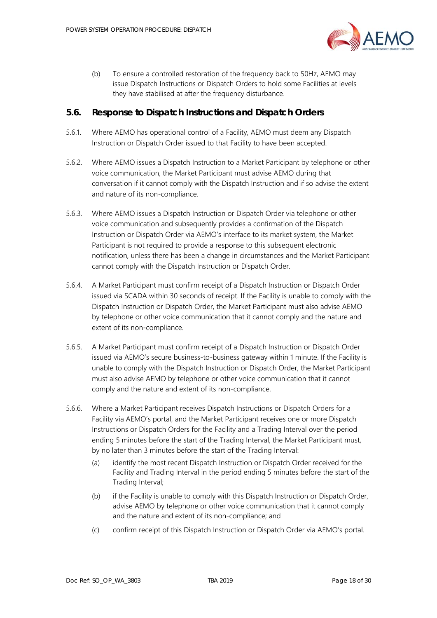

(b) To ensure a controlled restoration of the frequency back to 50Hz, AEMO may issue Dispatch Instructions or Dispatch Orders to hold some Facilities at levels they have stabilised at after the frequency disturbance.

#### <span id="page-17-0"></span>**5.6. Response to Dispatch Instructions and Dispatch Orders**

- 5.6.1. Where AEMO has operational control of a Facility, AEMO must deem any Dispatch Instruction or Dispatch Order issued to that Facility to have been accepted.
- 5.6.2. Where AEMO issues a Dispatch Instruction to a Market Participant by telephone or other voice communication, the Market Participant must advise AEMO during that conversation if it cannot comply with the Dispatch Instruction and if so advise the extent and nature of its non-compliance.
- 5.6.3. Where AEMO issues a Dispatch Instruction or Dispatch Order via telephone or other voice communication and subsequently provides a confirmation of the Dispatch Instruction or Dispatch Order via AEMO's interface to its market system, the Market Participant is not required to provide a response to this subsequent electronic notification, unless there has been a change in circumstances and the Market Participant cannot comply with the Dispatch Instruction or Dispatch Order.
- 5.6.4. A Market Participant must confirm receipt of a Dispatch Instruction or Dispatch Order issued via SCADA within 30 seconds of receipt. If the Facility is unable to comply with the Dispatch Instruction or Dispatch Order, the Market Participant must also advise AEMO by telephone or other voice communication that it cannot comply and the nature and extent of its non-compliance.
- 5.6.5. A Market Participant must confirm receipt of a Dispatch Instruction or Dispatch Order issued via AEMO's secure business-to-business gateway within 1 minute. If the Facility is unable to comply with the Dispatch Instruction or Dispatch Order, the Market Participant must also advise AEMO by telephone or other voice communication that it cannot comply and the nature and extent of its non-compliance.
- 5.6.6. Where a Market Participant receives Dispatch Instructions or Dispatch Orders for a Facility via AEMO's portal, and the Market Participant receives one or more Dispatch Instructions or Dispatch Orders for the Facility and a Trading Interval over the period ending 5 minutes before the start of the Trading Interval, the Market Participant must, by no later than 3 minutes before the start of the Trading Interval:
	- (a) identify the most recent Dispatch Instruction or Dispatch Order received for the Facility and Trading Interval in the period ending 5 minutes before the start of the Trading Interval;
	- (b) if the Facility is unable to comply with this Dispatch Instruction or Dispatch Order, advise AEMO by telephone or other voice communication that it cannot comply and the nature and extent of its non-compliance; and
	- (c) confirm receipt of this Dispatch Instruction or Dispatch Order via AEMO's portal.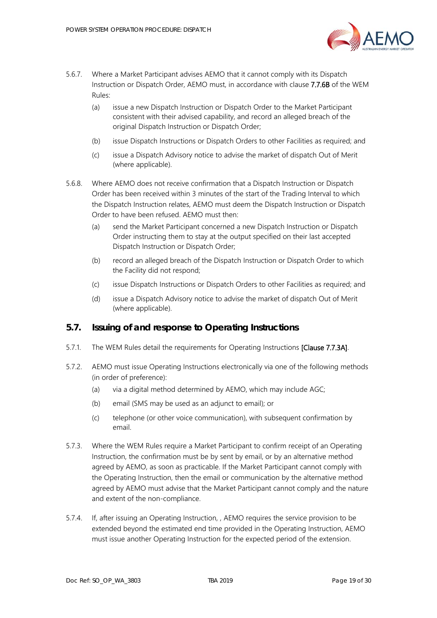

- <span id="page-18-1"></span>5.6.7. Where a Market Participant advises AEMO that it cannot comply with its Dispatch Instruction or Dispatch Order, AEMO must, in accordance with clause 7.7.6B of the WEM Rules:
	- (a) issue a new Dispatch Instruction or Dispatch Order to the Market Participant consistent with their advised capability, and record an alleged breach of the original Dispatch Instruction or Dispatch Order;
	- (b) issue Dispatch Instructions or Dispatch Orders to other Facilities as required; and
	- (c) issue a Dispatch Advisory notice to advise the market of dispatch Out of Merit (where applicable).
- 5.6.8. Where AEMO does not receive confirmation that a Dispatch Instruction or Dispatch Order has been received within 3 minutes of the start of the Trading Interval to which the Dispatch Instruction relates, AEMO must deem the Dispatch Instruction or Dispatch Order to have been refused. AEMO must then:
	- (a) send the Market Participant concerned a new Dispatch Instruction or Dispatch Order instructing them to stay at the output specified on their last accepted Dispatch Instruction or Dispatch Order;
	- (b) record an alleged breach of the Dispatch Instruction or Dispatch Order to which the Facility did not respond;
	- (c) issue Dispatch Instructions or Dispatch Orders to other Facilities as required; and
	- (d) issue a Dispatch Advisory notice to advise the market of dispatch Out of Merit (where applicable).

### <span id="page-18-0"></span>**5.7. Issuing of and response to Operating Instructions**

- 5.7.1. The WEM Rules detail the requirements for Operating Instructions [Clause 7.7.3A].
- 5.7.2. AEMO must issue Operating Instructions electronically via one of the following methods (in order of preference):
	- (a) via a digital method determined by AEMO, which may include AGC;
	- (b) email (SMS may be used as an adjunct to email); or
	- (c) telephone (or other voice communication), with subsequent confirmation by email.
- 5.7.3. Where the WEM Rules require a Market Participant to confirm receipt of an Operating Instruction, the confirmation must be by sent by email, or by an alternative method agreed by AEMO, as soon as practicable. If the Market Participant cannot comply with the Operating Instruction, then the email or communication by the alternative method agreed by AEMO must advise that the Market Participant cannot comply and the nature and extent of the non-compliance.
- 5.7.4. If, after issuing an Operating Instruction, , AEMO requires the service provision to be extended beyond the estimated end time provided in the Operating Instruction, AEMO must issue another Operating Instruction for the expected period of the extension.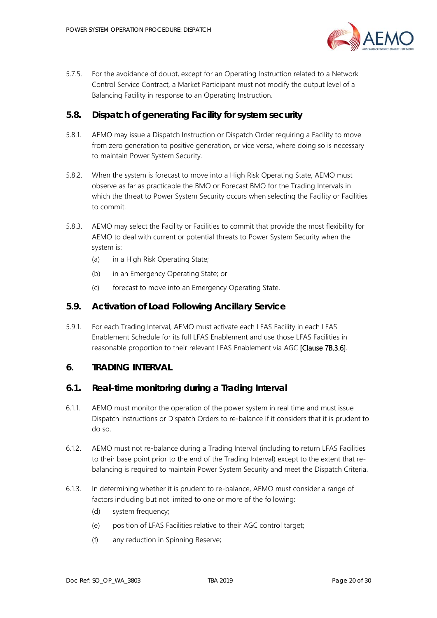

5.7.5. For the avoidance of doubt, except for an Operating Instruction related to a Network Control Service Contract, a Market Participant must not modify the output level of a Balancing Facility in response to an Operating Instruction.

### <span id="page-19-0"></span>**5.8. Dispatch of generating Facility for system security**

- 5.8.1. AEMO may issue a Dispatch Instruction or Dispatch Order requiring a Facility to move from zero generation to positive generation, or vice versa, where doing so is necessary to maintain Power System Security.
- 5.8.2. When the system is forecast to move into a High Risk Operating State, AEMO must observe as far as practicable the BMO or Forecast BMO for the Trading Intervals in which the threat to Power System Security occurs when selecting the Facility or Facilities to commit.
- 5.8.3. AEMO may select the Facility or Facilities to commit that provide the most flexibility for AEMO to deal with current or potential threats to Power System Security when the system is:
	- (a) in a High Risk Operating State;
	- (b) in an Emergency Operating State; or
	- (c) forecast to move into an Emergency Operating State.

#### <span id="page-19-1"></span>**5.9. Activation of Load Following Ancillary Service**

5.9.1. For each Trading Interval, AEMO must activate each LFAS Facility in each LFAS Enablement Schedule for its full LFAS Enablement and use those LFAS Facilities in reasonable proportion to their relevant LFAS Enablement via AGC [Clause 7B.3.6].

#### <span id="page-19-2"></span>**6. TRADING INTERVAL**

#### <span id="page-19-3"></span>**6.1. Real-time monitoring during a Trading Interval**

- 6.1.1. AEMO must monitor the operation of the power system in real time and must issue Dispatch Instructions or Dispatch Orders to re-balance if it considers that it is prudent to do so.
- 6.1.2. AEMO must not re-balance during a Trading Interval (including to return LFAS Facilities to their base point prior to the end of the Trading Interval) except to the extent that rebalancing is required to maintain Power System Security and meet the Dispatch Criteria.
- 6.1.3. In determining whether it is prudent to re-balance, AEMO must consider a range of factors including but not limited to one or more of the following:
	- (d) system frequency;
	- (e) position of LFAS Facilities relative to their AGC control target;
	- (f) any reduction in Spinning Reserve;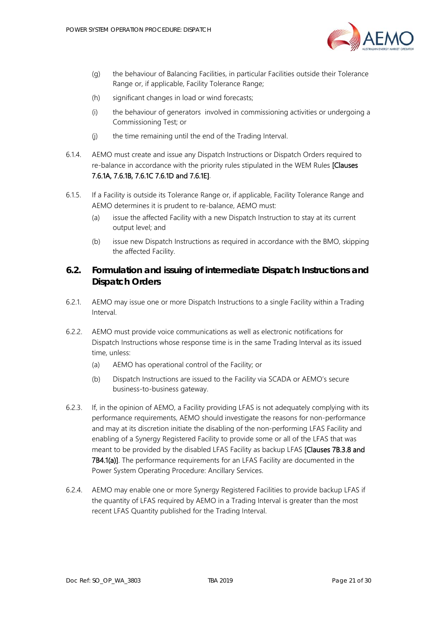

- (g) the behaviour of Balancing Facilities, in particular Facilities outside their Tolerance Range or, if applicable, Facility Tolerance Range;
- (h) significant changes in load or wind forecasts;
- (i) the behaviour of generators involved in commissioning activities or undergoing a Commissioning Test; or
- (j) the time remaining until the end of the Trading Interval.
- 6.1.4. AEMO must create and issue any Dispatch Instructions or Dispatch Orders required to re-balance in accordance with the priority rules stipulated in the WEM Rules [Clauses] 7.6.1A, 7.6.1B, 7.6.1C 7.6.1D and 7.6.1E].
- 6.1.5. If a Facility is outside its Tolerance Range or, if applicable, Facility Tolerance Range and AEMO determines it is prudent to re-balance, AEMO must:
	- (a) issue the affected Facility with a new Dispatch Instruction to stay at its current output level; and
	- (b) issue new Dispatch Instructions as required in accordance with the BMO, skipping the affected Facility.

# <span id="page-20-0"></span>**6.2. Formulation and issuing of intermediate Dispatch Instructions and Dispatch Orders**

- 6.2.1. AEMO may issue one or more Dispatch Instructions to a single Facility within a Trading Interval.
- 6.2.2. AEMO must provide voice communications as well as electronic notifications for Dispatch Instructions whose response time is in the same Trading Interval as its issued time, unless:
	- (a) AEMO has operational control of the Facility; or
	- (b) Dispatch Instructions are issued to the Facility via SCADA or AEMO's secure business-to-business gateway.
- 6.2.3. If, in the opinion of AEMO, a Facility providing LFAS is not adequately complying with its performance requirements, AEMO should investigate the reasons for non-performance and may at its discretion initiate the disabling of the non-performing LFAS Facility and enabling of a Synergy Registered Facility to provide some or all of the LFAS that was meant to be provided by the disabled LFAS Facility as backup LFAS **[Clauses 7B.3.8 and** 7B4.1(a)]. The performance requirements for an LFAS Facility are documented in the Power System Operating Procedure: Ancillary Services.
- 6.2.4. AEMO may enable one or more Synergy Registered Facilities to provide backup LFAS if the quantity of LFAS required by AEMO in a Trading Interval is greater than the most recent LFAS Quantity published for the Trading Interval.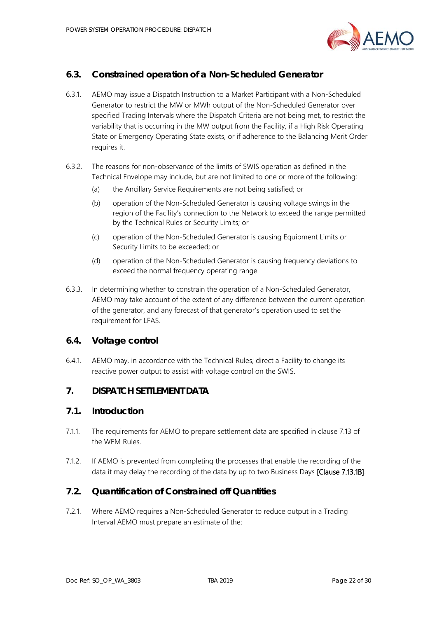

# <span id="page-21-0"></span>**6.3. Constrained operation of a Non-Scheduled Generator**

- 6.3.1. AEMO may issue a Dispatch Instruction to a Market Participant with a Non-Scheduled Generator to restrict the MW or MWh output of the Non-Scheduled Generator over specified Trading Intervals where the Dispatch Criteria are not being met, to restrict the variability that is occurring in the MW output from the Facility, if a High Risk Operating State or Emergency Operating State exists, or if adherence to the Balancing Merit Order requires it.
- 6.3.2. The reasons for non-observance of the limits of SWIS operation as defined in the Technical Envelope may include, but are not limited to one or more of the following:
	- (a) the Ancillary Service Requirements are not being satisfied; or
	- (b) operation of the Non-Scheduled Generator is causing voltage swings in the region of the Facility's connection to the Network to exceed the range permitted by the Technical Rules or Security Limits; or
	- (c) operation of the Non-Scheduled Generator is causing Equipment Limits or Security Limits to be exceeded; or
	- (d) operation of the Non-Scheduled Generator is causing frequency deviations to exceed the normal frequency operating range.
- 6.3.3. In determining whether to constrain the operation of a Non-Scheduled Generator, AEMO may take account of the extent of any difference between the current operation of the generator, and any forecast of that generator's operation used to set the requirement for LFAS.

### <span id="page-21-1"></span>**6.4. Voltage control**

6.4.1. AEMO may, in accordance with the Technical Rules, direct a Facility to change its reactive power output to assist with voltage control on the SWIS.

# <span id="page-21-2"></span>**7. DISPATCH SETTLEMENT DATA**

#### <span id="page-21-3"></span>**7.1. Introduction**

- 7.1.1. The requirements for AEMO to prepare settlement data are specified in clause 7.13 of the WEM Rules.
- 7.1.2. If AEMO is prevented from completing the processes that enable the recording of the data it may delay the recording of the data by up to two Business Days [Clause 7.13.1B].

### <span id="page-21-4"></span>**7.2. Quantification of Constrained off Quantities**

<span id="page-21-5"></span>7.2.1. Where AEMO requires a Non-Scheduled Generator to reduce output in a Trading Interval AEMO must prepare an estimate of the: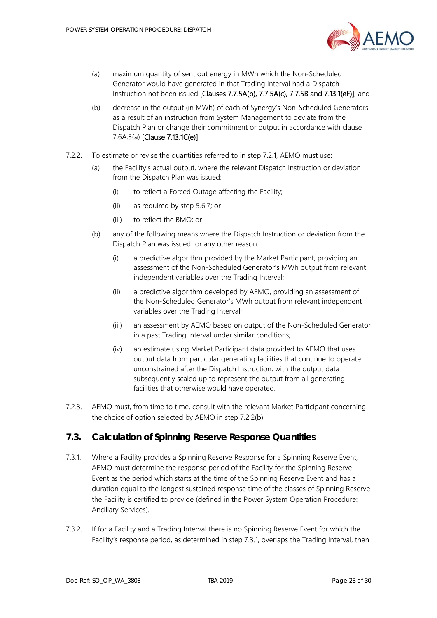

- (a) maximum quantity of sent out energy in MWh which the Non-Scheduled Generator would have generated in that Trading Interval had a Dispatch Instruction not been issued [Clauses 7.7.5A(b), 7.7.5A(c), 7.7.5B and 7.13.1(eF)]; and
- (b) decrease in the output (in MWh) of each of Synergy's Non-Scheduled Generators as a result of an instruction from System Management to deviate from the Dispatch Plan or change their commitment or output in accordance with clause 7.6A.3(a) [Clause 7.13.1C(e)].
- <span id="page-22-2"></span><span id="page-22-1"></span>7.2.2. To estimate or revise the quantities referred to in step [7.2.1,](#page-21-5) AEMO must use:
	- (a) the Facility's actual output, where the relevant Dispatch Instruction or deviation from the Dispatch Plan was issued:
		- (i) to reflect a Forced Outage affecting the Facility;
		- (ii) as required by step [5.6.7;](#page-18-1) or
		- (iii) to reflect the BMO; or
	- (b) any of the following means where the Dispatch Instruction or deviation from the Dispatch Plan was issued for any other reason:
		- (i) a predictive algorithm provided by the Market Participant, providing an assessment of the Non-Scheduled Generator's MWh output from relevant independent variables over the Trading Interval;
		- (ii) a predictive algorithm developed by AEMO, providing an assessment of the Non-Scheduled Generator's MWh output from relevant independent variables over the Trading Interval;
		- (iii) an assessment by AEMO based on output of the Non-Scheduled Generator in a past Trading Interval under similar conditions;
		- (iv) an estimate using Market Participant data provided to AEMO that uses output data from particular generating facilities that continue to operate unconstrained after the Dispatch Instruction, with the output data subsequently scaled up to represent the output from all generating facilities that otherwise would have operated.
- 7.2.3. AEMO must, from time to time, consult with the relevant Market Participant concerning the choice of option selected by AEMO in step [7.2.2](#page-22-1)[\(b\).](#page-22-2)

### <span id="page-22-0"></span>**7.3. Calculation of Spinning Reserve Response Quantities**

- <span id="page-22-3"></span>7.3.1. Where a Facility provides a Spinning Reserve Response for a Spinning Reserve Event, AEMO must determine the response period of the Facility for the Spinning Reserve Event as the period which starts at the time of the Spinning Reserve Event and has a duration equal to the longest sustained response time of the classes of Spinning Reserve the Facility is certified to provide (defined in the Power System Operation Procedure: Ancillary Services).
- 7.3.2. If for a Facility and a Trading Interval there is no Spinning Reserve Event for which the Facility's response period, as determined in step [7.3.1,](#page-22-3) overlaps the Trading Interval, then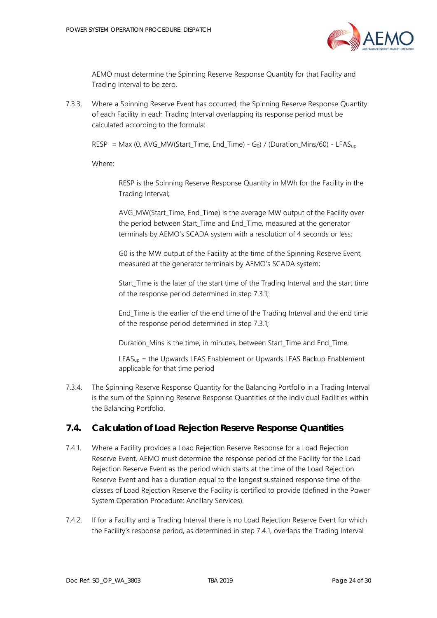

AEMO must determine the Spinning Reserve Response Quantity for that Facility and Trading Interval to be zero.

7.3.3. Where a Spinning Reserve Event has occurred, the Spinning Reserve Response Quantity of each Facility in each Trading Interval overlapping its response period must be calculated according to the formula:

RESP = Max (0, AVG\_MW(Start\_Time, End\_Time) - G<sub>0</sub>) / (Duration\_Mins/60) - LFAS<sub>up</sub>

Where:

RESP is the Spinning Reserve Response Quantity in MWh for the Facility in the Trading Interval;

AVG MW(Start Time, End Time) is the average MW output of the Facility over the period between Start\_Time and End\_Time, measured at the generator terminals by AEMO's SCADA system with a resolution of 4 seconds or less;

G0 is the MW output of the Facility at the time of the Spinning Reserve Event, measured at the generator terminals by AEMO's SCADA system;

Start Time is the later of the start time of the Trading Interval and the start time of the response period determined in ste[p 7.3.1;](#page-22-3)

End\_Time is the earlier of the end time of the Trading Interval and the end time of the response period determined in ste[p 7.3.1;](#page-22-3)

Duration Mins is the time, in minutes, between Start Time and End Time.

 $LFAS<sub>up</sub>$  = the Upwards LFAS Enablement or Upwards LFAS Backup Enablement applicable for that time period

7.3.4. The Spinning Reserve Response Quantity for the Balancing Portfolio in a Trading Interval is the sum of the Spinning Reserve Response Quantities of the individual Facilities within the Balancing Portfolio.

### <span id="page-23-0"></span>**7.4. Calculation of Load Rejection Reserve Response Quantities**

- <span id="page-23-1"></span>7.4.1. Where a Facility provides a Load Rejection Reserve Response for a Load Rejection Reserve Event, AEMO must determine the response period of the Facility for the Load Rejection Reserve Event as the period which starts at the time of the Load Rejection Reserve Event and has a duration equal to the longest sustained response time of the classes of Load Rejection Reserve the Facility is certified to provide (defined in the Power System Operation Procedure: Ancillary Services).
- 7.4.2. If for a Facility and a Trading Interval there is no Load Rejection Reserve Event for which the Facility's response period, as determined in step [7.4.1,](#page-23-1) overlaps the Trading Interval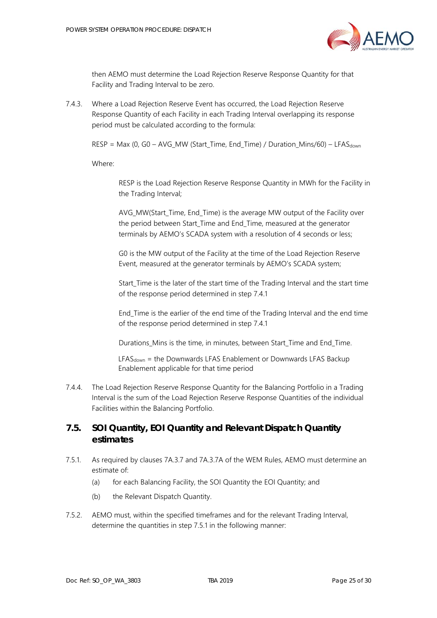

then AEMO must determine the Load Rejection Reserve Response Quantity for that Facility and Trading Interval to be zero.

7.4.3. Where a Load Rejection Reserve Event has occurred, the Load Rejection Reserve Response Quantity of each Facility in each Trading Interval overlapping its response period must be calculated according to the formula:

 $RESP = Max (0, GO - AVG_MW (Start\_Time, End\_Time) / Duration_Mins/60) - LFAST_{down}$ 

Where:

RESP is the Load Rejection Reserve Response Quantity in MWh for the Facility in the Trading Interval;

AVG MW(Start Time, End Time) is the average MW output of the Facility over the period between Start\_Time and End\_Time, measured at the generator terminals by AEMO's SCADA system with a resolution of 4 seconds or less;

G0 is the MW output of the Facility at the time of the Load Rejection Reserve Event, measured at the generator terminals by AEMO's SCADA system;

Start Time is the later of the start time of the Trading Interval and the start time of the response period determined in step [7.4.1](#page-23-1)

End\_Time is the earlier of the end time of the Trading Interval and the end time of the response period determined in step [7.4.1](#page-23-1)

Durations Mins is the time, in minutes, between Start Time and End Time.

 $LFAS<sub>down</sub> =$  the Downwards LFAS Enablement or Downwards LFAS Backup Enablement applicable for that time period

7.4.4. The Load Rejection Reserve Response Quantity for the Balancing Portfolio in a Trading Interval is the sum of the Load Rejection Reserve Response Quantities of the individual Facilities within the Balancing Portfolio.

# <span id="page-24-0"></span>**7.5. SOI Quantity, EOI Quantity and Relevant Dispatch Quantity estimates**

- <span id="page-24-1"></span>7.5.1. As required by clauses 7A.3.7 and 7A.3.7A of the WEM Rules, AEMO must determine an estimate of:
	- (a) for each Balancing Facility, the SOI Quantity the EOI Quantity; and
	- (b) the Relevant Dispatch Quantity.
- <span id="page-24-2"></span>7.5.2. AEMO must, within the specified timeframes and for the relevant Trading Interval, determine the quantities in step [7.5.1](#page-24-1) in the following manner: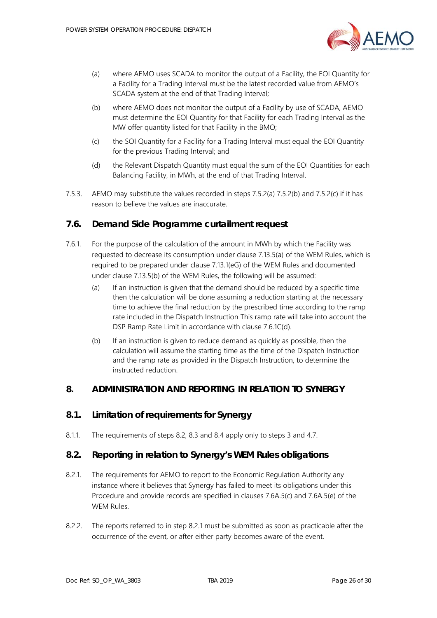

- <span id="page-25-4"></span>(a) where AEMO uses SCADA to monitor the output of a Facility, the EOI Quantity for a Facility for a Trading Interval must be the latest recorded value from AEMO's SCADA system at the end of that Trading Interval;
- <span id="page-25-5"></span>(b) where AEMO does not monitor the output of a Facility by use of SCADA, AEMO must determine the EOI Quantity for that Facility for each Trading Interval as the MW offer quantity listed for that Facility in the BMO;
- <span id="page-25-6"></span>(c) the SOI Quantity for a Facility for a Trading Interval must equal the EOI Quantity for the previous Trading Interval; and
- (d) the Relevant Dispatch Quantity must equal the sum of the EOI Quantities for each Balancing Facility, in MWh, at the end of that Trading Interval.
- 7.5.3. AEMO may substitute the values recorded in steps [7.5.2](#page-24-2)[\(a\)](#page-25-4) [7.5.2](#page-24-2)[\(b\)](#page-25-5) and [7.5.2](#page-24-2)[\(c\)](#page-25-6) if it has reason to believe the values are inaccurate.

#### <span id="page-25-0"></span>**7.6. Demand Side Programme curtailment request**

- 7.6.1. For the purpose of the calculation of the amount in MWh by which the Facility was requested to decrease its consumption under clause 7.13.5(a) of the WEM Rules, which is required to be prepared under clause 7.13.1(eG) of the WEM Rules and documented under clause 7.13.5(b) of the WEM Rules, the following will be assumed:
	- (a) If an instruction is given that the demand should be reduced by a specific time then the calculation will be done assuming a reduction starting at the necessary time to achieve the final reduction by the prescribed time according to the ramp rate included in the Dispatch Instruction This ramp rate will take into account the DSP Ramp Rate Limit in accordance with clause 7.6.1C(d).
	- (b) If an instruction is given to reduce demand as quickly as possible, then the calculation will assume the starting time as the time of the Dispatch Instruction and the ramp rate as provided in the Dispatch Instruction, to determine the instructed reduction.

#### <span id="page-25-1"></span>**8. ADMINISTRATION AND REPORTING IN RELATION TO SYNERGY**

#### <span id="page-25-2"></span>**8.1. Limitation of requirements for Synergy**

8.1.1. The requirements of steps [8.2,](#page-25-3) [8.3](#page-26-0) and [8.4](#page-26-1) apply only to steps [3](#page-8-0) and [4.7.](#page-11-1)

#### <span id="page-25-3"></span>**8.2. Reporting in relation to Synergy's WEM Rules obligations**

- <span id="page-25-7"></span>8.2.1. The requirements for AEMO to report to the Economic Regulation Authority any instance where it believes that Synergy has failed to meet its obligations under this Procedure and provide records are specified in clauses 7.6A.5(c) and 7.6A.5(e) of the WEM Rules.
- 8.2.2. The reports referred to in step [8.2.1](#page-25-7) must be submitted as soon as practicable after the occurrence of the event, or after either party becomes aware of the event.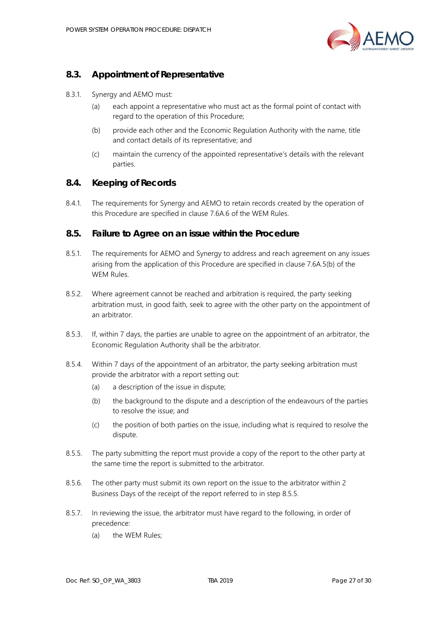

# <span id="page-26-0"></span>**8.3. Appointment of Representative**

- 8.3.1. Synergy and AEMO must:
	- (a) each appoint a representative who must act as the formal point of contact with regard to the operation of this Procedure;
	- (b) provide each other and the Economic Regulation Authority with the name, title and contact details of its representative; and
	- (c) maintain the currency of the appointed representative's details with the relevant parties.

#### <span id="page-26-1"></span>**8.4. Keeping of Records**

8.4.1. The requirements for Synergy and AEMO to retain records created by the operation of this Procedure are specified in clause 7.6A.6 of the WEM Rules.

#### <span id="page-26-2"></span>**8.5. Failure to Agree on an issue within the Procedure**

- 8.5.1. The requirements for AEMO and Synergy to address and reach agreement on any issues arising from the application of this Procedure are specified in clause 7.6A.5(b) of the WEM Rules.
- 8.5.2. Where agreement cannot be reached and arbitration is required, the party seeking arbitration must, in good faith, seek to agree with the other party on the appointment of an arbitrator.
- 8.5.3. If, within 7 days, the parties are unable to agree on the appointment of an arbitrator, the Economic Regulation Authority shall be the arbitrator.
- 8.5.4. Within 7 days of the appointment of an arbitrator, the party seeking arbitration must provide the arbitrator with a report setting out:
	- (a) a description of the issue in dispute;
	- (b) the background to the dispute and a description of the endeavours of the parties to resolve the issue; and
	- (c) the position of both parties on the issue, including what is required to resolve the dispute.
- <span id="page-26-3"></span>8.5.5. The party submitting the report must provide a copy of the report to the other party at the same time the report is submitted to the arbitrator.
- 8.5.6. The other party must submit its own report on the issue to the arbitrator within 2 Business Days of the receipt of the report referred to in step [8.5.5.](#page-26-3)
- 8.5.7. In reviewing the issue, the arbitrator must have regard to the following, in order of precedence:
	- (a) the WEM Rules;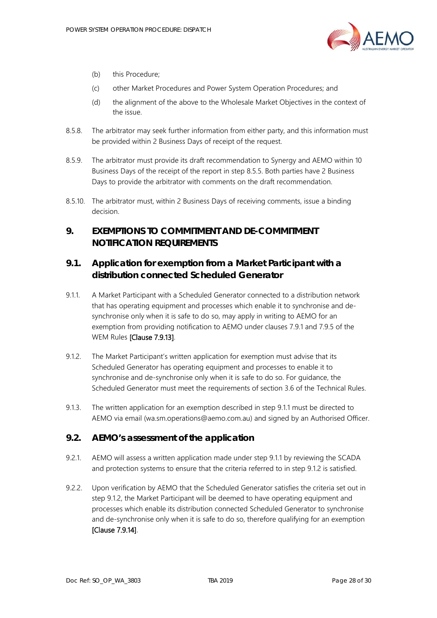

- (b) this Procedure;
- (c) other Market Procedures and Power System Operation Procedures; and
- (d) the alignment of the above to the Wholesale Market Objectives in the context of the issue.
- 8.5.8. The arbitrator may seek further information from either party, and this information must be provided within 2 Business Days of receipt of the request.
- 8.5.9. The arbitrator must provide its draft recommendation to Synergy and AEMO within 10 Business Days of the receipt of the report in step [8.5.5.](#page-26-3) Both parties have 2 Business Days to provide the arbitrator with comments on the draft recommendation.
- 8.5.10. The arbitrator must, within 2 Business Days of receiving comments, issue a binding decision.

# <span id="page-27-0"></span>**9. EXEMPTIONS TO COMMITMENT AND DE-COMMITMENT NOTIFICATION REQUIREMENTS**

# <span id="page-27-1"></span>**9.1. Application for exemption from a Market Participant with a distribution connected Scheduled Generator**

- <span id="page-27-3"></span>9.1.1. A Market Participant with a Scheduled Generator connected to a distribution network that has operating equipment and processes which enable it to synchronise and desynchronise only when it is safe to do so, may apply in writing to AEMO for an exemption from providing notification to AEMO under clauses 7.9.1 and 7.9.5 of the WEM Rules [Clause 7.9.13].
- <span id="page-27-4"></span>9.1.2. The Market Participant's written application for exemption must advise that its Scheduled Generator has operating equipment and processes to enable it to synchronise and de-synchronise only when it is safe to do so. For guidance, the Scheduled Generator must meet the requirements of section 3.6 of the Technical Rules.
- 9.1.3. The written application for an exemption described in step [9.1.1](#page-27-3) must be directed to AEMO via email (wa.sm.operations@aemo.com.au) and signed by an Authorised Officer.

### <span id="page-27-2"></span>**9.2. AEMO's assessment of the application**

- 9.2.1. AEMO will assess a written application made under step [9.1.1](#page-27-3) by reviewing the SCADA and protection systems to ensure that the criteria referred to in step [9.1.2](#page-27-4) is satisfied.
- <span id="page-27-5"></span>9.2.2. Upon verification by AEMO that the Scheduled Generator satisfies the criteria set out in step [9.1.2,](#page-27-4) the Market Participant will be deemed to have operating equipment and processes which enable its distribution connected Scheduled Generator to synchronise and de-synchronise only when it is safe to do so, therefore qualifying for an exemption [Clause 7.9.14].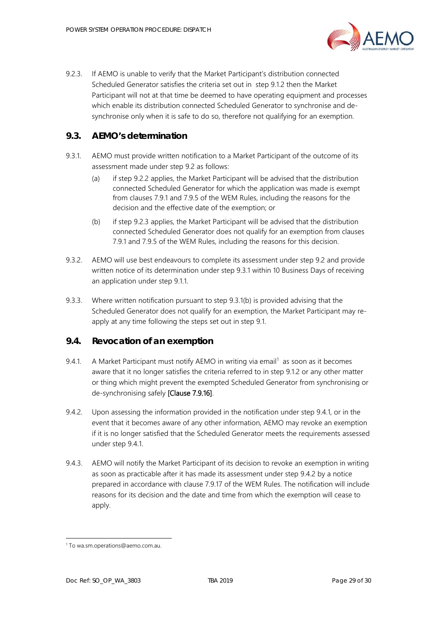

<span id="page-28-2"></span>9.2.3. If AEMO is unable to verify that the Market Participant's distribution connected Scheduled Generator satisfies the criteria set out in step [9.1.2](#page-27-4) then the Market Participant will not at that time be deemed to have operating equipment and processes which enable its distribution connected Scheduled Generator to synchronise and desynchronise only when it is safe to do so, therefore not qualifying for an exemption.

# <span id="page-28-0"></span>**9.3. AEMO's determination**

- <span id="page-28-3"></span>9.3.1. AEMO must provide written notification to a Market Participant of the outcome of its assessment made under step [9.2](#page-27-2) as follows:
	- (a) if step [9.2.2](#page-27-5) applies, the Market Participant will be advised that the distribution connected Scheduled Generator for which the application was made is exempt from clauses 7.9.1 and 7.9.5 of the WEM Rules, including the reasons for the decision and the effective date of the exemption; or
	- (b) if step [9.2.3](#page-28-2) applies, the Market Participant will be advised that the distribution connected Scheduled Generator does not qualify for an exemption from clauses 7.9.1 and 7.9.5 of the WEM Rules, including the reasons for this decision.
- <span id="page-28-4"></span>9.3.2. AEMO will use best endeavours to complete its assessment under step [9.2](#page-27-2) and provide written notice of its determination under step [9.3.1](#page-28-3) within 10 Business Days of receiving an application under step [9.1.1.](#page-27-3)
- 9.3.3. Where written notification pursuant to step [9.3.1](#page-28-3)[\(b\)](#page-28-4) is provided advising that the Scheduled Generator does not qualify for an exemption, the Market Participant may reapply at any time following the steps set out in step [9.1.](#page-27-1)

### <span id="page-28-1"></span>**9.4. Revocation of an exemption**

- <span id="page-28-5"></span>9.4.[1](#page-28-7). A Market Participant must notify AEMO in writing via email<sup>1</sup> as soon as it becomes aware that it no longer satisfies the criteria referred to in step [9.1.2](#page-27-4) or any other matter or thing which might prevent the exempted Scheduled Generator from synchronising or de-synchronising safely [Clause 7.9.16].
- <span id="page-28-6"></span>9.4.2. Upon assessing the information provided in the notification under step [9.4.1,](#page-28-5) or in the event that it becomes aware of any other information, AEMO may revoke an exemption if it is no longer satisfied that the Scheduled Generator meets the requirements assessed under step [9.4.1.](#page-28-5)
- 9.4.3. AEMO will notify the Market Participant of its decision to revoke an exemption in writing as soon as practicable after it has made its assessment under step [9.4.2](#page-28-6) by a notice prepared in accordance with clause 7.9.17 of the WEM Rules. The notification will include reasons for its decision and the date and time from which the exemption will cease to apply.

j

<span id="page-28-7"></span><sup>1</sup> To wa.sm.operations@aemo.com.au.